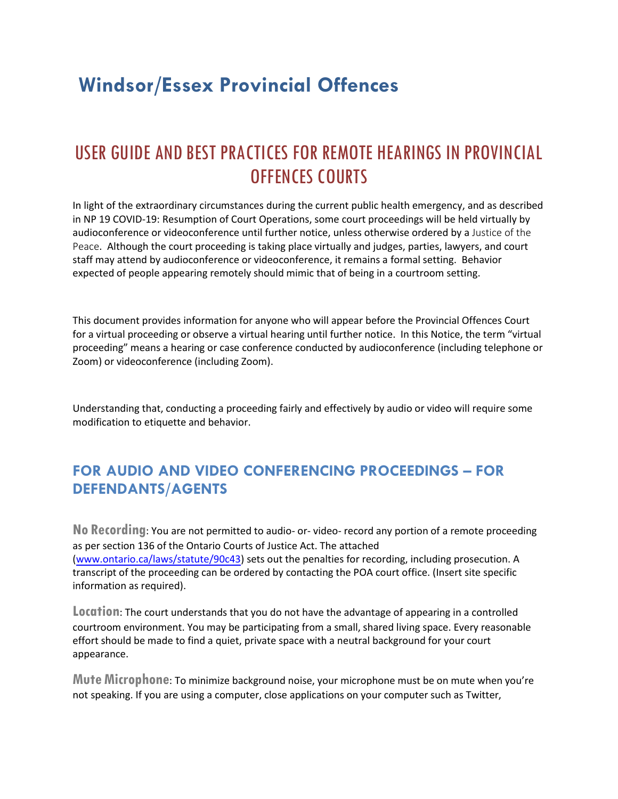# **Windsor/Essex Provincial Offences**

## USER GUIDE AND BEST PRACTICES FOR REMOTE HEARINGS IN PROVINCIAL OFFENCES COURTS

In light of the extraordinary circumstances during the current public health emergency, and as described in NP 19 COVID-19: Resumption of Court Operations, some court proceedings will be held virtually by audioconference or videoconference until further notice, unless otherwise ordered by a Justice of the Peace. Although the court proceeding is taking place virtually and judges, parties, lawyers, and court staff may attend by audioconference or videoconference, it remains a formal setting. Behavior expected of people appearing remotely should mimic that of being in a courtroom setting.

This document provides information for anyone who will appear before the Provincial Offences Court for a virtual proceeding or observe a virtual hearing until further notice. In this Notice, the term "virtual proceeding" means a hearing or case conference conducted by audioconference (including telephone or Zoom) or videoconference (including Zoom).

Understanding that, conducting a proceeding fairly and effectively by audio or video will require some modification to etiquette and behavior.

## **FOR AUDIO AND VIDEO CONFERENCING PROCEEDINGS – FOR DEFENDANTS/AGENTS**

**No Recording**: You are not permitted to audio- or- video- record any portion of a remote proceeding as per section 136 of the Ontario Courts of Justice Act. The attached [\(www.ontario.ca/laws/statute/90c43\)](http://www.ontario.ca/laws/statute/90c43) sets out the penalties for recording, including prosecution. A transcript of the proceeding can be ordered by contacting the POA court office. (Insert site specific information as required).

**Location**: The court understands that you do not have the advantage of appearing in a controlled courtroom environment. You may be participating from a small, shared living space. Every reasonable effort should be made to find a quiet, private space with a neutral background for your court appearance.

Mute Microphone: To minimize background noise, your microphone must be on mute when you're not speaking. If you are using a computer, close applications on your computer such as Twitter,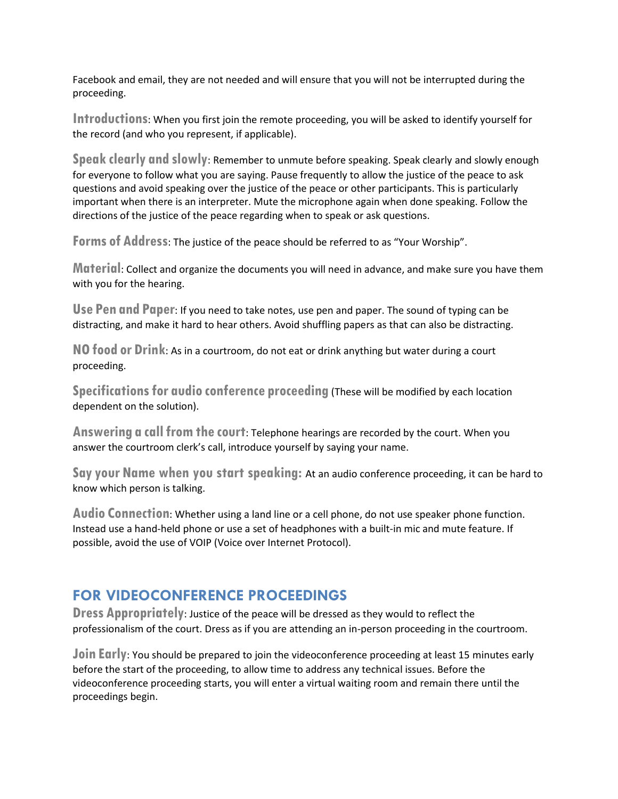Facebook and email, they are not needed and will ensure that you will not be interrupted during the proceeding.

**Introductions**: When you first join the remote proceeding, you will be asked to identify yourself for the record (and who you represent, if applicable).

**Speak clearly and slowly**: Remember to unmute before speaking. Speak clearly and slowly enough for everyone to follow what you are saying. Pause frequently to allow the justice of the peace to ask questions and avoid speaking over the justice of the peace or other participants. This is particularly important when there is an interpreter. Mute the microphone again when done speaking. Follow the directions of the justice of the peace regarding when to speak or ask questions.

**Forms of Address**: The justice of the peace should be referred to as "Your Worship".

**Material**: Collect and organize the documents you will need in advance, and make sure you have them with you for the hearing.

**Use Pen and Paper**: If you need to take notes, use pen and paper. The sound of typing can be distracting, and make it hard to hear others. Avoid shuffling papers as that can also be distracting.

**NO food or Drink**: As in a courtroom, do not eat or drink anything but water during a court proceeding.

**Specifications for audio conference proceeding (These will be modified by each location** dependent on the solution).

Answering a call from the court: Telephone hearings are recorded by the court. When you answer the courtroom clerk's call, introduce yourself by saying your name.

**Sayyour Name when you start speaking:** At an audio conference proceeding, it can be hard to know which person is talking.

**Audio Connection**: Whether using a land line or a cell phone, do not use speaker phone function. Instead use a hand-held phone or use a set of headphones with a built-in mic and mute feature. If possible, avoid the use of VOIP (Voice over Internet Protocol).

#### **FOR VIDEOCONFERENCE PROCEEDINGS**

**Dress Appropriately**: Justice of the peace will be dressed as they would to reflect the professionalism of the court. Dress as if you are attending an in-person proceeding in the courtroom.

**Join Early:** You should be prepared to join the videoconference proceeding at least 15 minutes early before the start of the proceeding, to allow time to address any technical issues. Before the videoconference proceeding starts, you will enter a virtual waiting room and remain there until the proceedings begin.